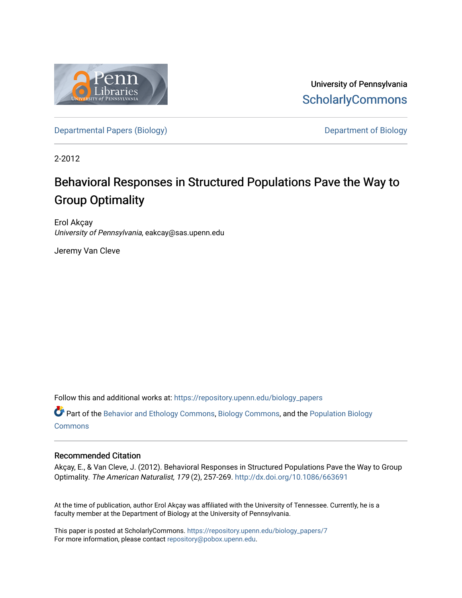

University of Pennsylvania **ScholarlyCommons** 

[Departmental Papers \(Biology\)](https://repository.upenn.edu/biology_papers) and Department of Biology

2-2012

## Behavioral Responses in Structured Populations Pave the Way to Group Optimality

Erol Akçay University of Pennsylvania, eakcay@sas.upenn.edu

Jeremy Van Cleve

Follow this and additional works at: [https://repository.upenn.edu/biology\\_papers](https://repository.upenn.edu/biology_papers?utm_source=repository.upenn.edu%2Fbiology_papers%2F7&utm_medium=PDF&utm_campaign=PDFCoverPages) 

Part of the [Behavior and Ethology Commons,](http://network.bepress.com/hgg/discipline/15?utm_source=repository.upenn.edu%2Fbiology_papers%2F7&utm_medium=PDF&utm_campaign=PDFCoverPages) [Biology Commons,](http://network.bepress.com/hgg/discipline/41?utm_source=repository.upenn.edu%2Fbiology_papers%2F7&utm_medium=PDF&utm_campaign=PDFCoverPages) and the [Population Biology](http://network.bepress.com/hgg/discipline/19?utm_source=repository.upenn.edu%2Fbiology_papers%2F7&utm_medium=PDF&utm_campaign=PDFCoverPages)  [Commons](http://network.bepress.com/hgg/discipline/19?utm_source=repository.upenn.edu%2Fbiology_papers%2F7&utm_medium=PDF&utm_campaign=PDFCoverPages)

### Recommended Citation

Akçay, E., & Van Cleve, J. (2012). Behavioral Responses in Structured Populations Pave the Way to Group Optimality. The American Naturalist, 179 (2), 257-269. <http://dx.doi.org/10.1086/663691>

At the time of publication, author Erol Akçay was affiliated with the University of Tennessee. Currently, he is a faculty member at the Department of Biology at the University of Pennsylvania.

This paper is posted at ScholarlyCommons. [https://repository.upenn.edu/biology\\_papers/7](https://repository.upenn.edu/biology_papers/7) For more information, please contact [repository@pobox.upenn.edu.](mailto:repository@pobox.upenn.edu)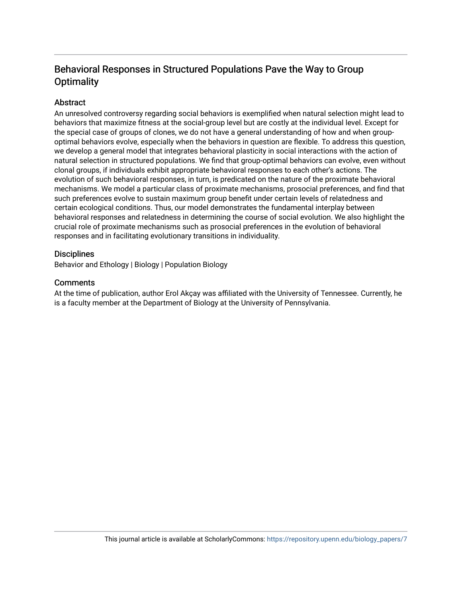## Behavioral Responses in Structured Populations Pave the Way to Group **Optimality**

## **Abstract**

An unresolved controversy regarding social behaviors is exemplified when natural selection might lead to behaviors that maximize fitness at the social-group level but are costly at the individual level. Except for the special case of groups of clones, we do not have a general understanding of how and when groupoptimal behaviors evolve, especially when the behaviors in question are flexible. To address this question, we develop a general model that integrates behavioral plasticity in social interactions with the action of natural selection in structured populations. We find that group-optimal behaviors can evolve, even without clonal groups, if individuals exhibit appropriate behavioral responses to each other's actions. The evolution of such behavioral responses, in turn, is predicated on the nature of the proximate behavioral mechanisms. We model a particular class of proximate mechanisms, prosocial preferences, and find that such preferences evolve to sustain maximum group benefit under certain levels of relatedness and certain ecological conditions. Thus, our model demonstrates the fundamental interplay between behavioral responses and relatedness in determining the course of social evolution. We also highlight the crucial role of proximate mechanisms such as prosocial preferences in the evolution of behavioral responses and in facilitating evolutionary transitions in individuality.

## **Disciplines**

Behavior and Ethology | Biology | Population Biology

## **Comments**

At the time of publication, author Erol Akçay was affiliated with the University of Tennessee. Currently, he is a faculty member at the Department of Biology at the University of Pennsylvania.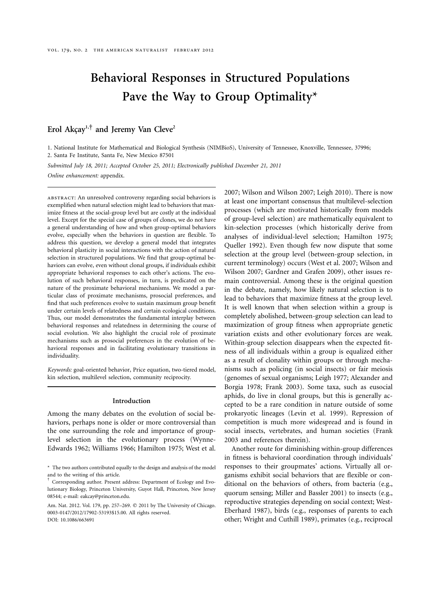# **Behavioral Responses in Structured Populations Pave the Way to Group Optimality\***

Erol Akçay<sup>1,†</sup> and Jeremy Van Cleve<sup>2</sup>

1. National Institute for Mathematical and Biological Synthesis (NIMBioS), University of Tennessee, Knoxville, Tennessee, 37996; 2. Santa Fe Institute, Santa Fe, New Mexico 87501

*Submitted July 18, 2011; Accepted October 25, 2011; Electronically published December 21, 2011 Online enhancement:* appendix.

abstract: An unresolved controversy regarding social behaviors is exemplified when natural selection might lead to behaviors that maximize fitness at the social-group level but are costly at the individual level. Except for the special case of groups of clones, we do not have a general understanding of how and when group-optimal behaviors evolve, especially when the behaviors in question are flexible. To address this question, we develop a general model that integrates behavioral plasticity in social interactions with the action of natural selection in structured populations. We find that group-optimal behaviors can evolve, even without clonal groups, if individuals exhibit appropriate behavioral responses to each other's actions. The evolution of such behavioral responses, in turn, is predicated on the nature of the proximate behavioral mechanisms. We model a particular class of proximate mechanisms, prosocial preferences, and find that such preferences evolve to sustain maximum group benefit under certain levels of relatedness and certain ecological conditions. Thus, our model demonstrates the fundamental interplay between behavioral responses and relatedness in determining the course of social evolution. We also highlight the crucial role of proximate mechanisms such as prosocial preferences in the evolution of behavioral responses and in facilitating evolutionary transitions in individuality.

*Keywords:* goal-oriented behavior, Price equation, two-tiered model, kin selection, multilevel selection, community reciprocity.

#### **Introduction**

Among the many debates on the evolution of social behaviors, perhaps none is older or more controversial than the one surrounding the role and importance of grouplevel selection in the evolutionary process (Wynne-Edwards 1962; Williams 1966; Hamilton 1975; West et al.

2007; Wilson and Wilson 2007; Leigh 2010). There is now at least one important consensus that multilevel-selection processes (which are motivated historically from models of group-level selection) are mathematically equivalent to kin-selection processes (which historically derive from analyses of individual-level selection; Hamilton 1975; Queller 1992). Even though few now dispute that some selection at the group level (between-group selection, in current terminology) occurs (West et al. 2007; Wilson and Wilson 2007; Gardner and Grafen 2009), other issues remain controversial. Among these is the original question in the debate, namely, how likely natural selection is to lead to behaviors that maximize fitness at the group level. It is well known that when selection within a group is completely abolished, between-group selection can lead to maximization of group fitness when appropriate genetic variation exists and other evolutionary forces are weak. Within-group selection disappears when the expected fitness of all individuals within a group is equalized either as a result of clonality within groups or through mechanisms such as policing (in social insects) or fair meiosis (genomes of sexual organisms; Leigh 1977; Alexander and Borgia 1978; Frank 2003). Some taxa, such as eusocial aphids, do live in clonal groups, but this is generally accepted to be a rare condition in nature outside of some prokaryotic lineages (Levin et al. 1999). Repression of competition is much more widespread and is found in social insects, vertebrates, and human societies (Frank 2003 and references therein).

Another route for diminishing within-group differences in fitness is behavioral coordination through individuals' responses to their groupmates' actions. Virtually all organisms exhibit social behaviors that are flexible or conditional on the behaviors of others, from bacteria (e.g., quorum sensing; Miller and Bassler 2001) to insects (e.g., reproductive strategies depending on social context; West-Eberhard 1987), birds (e.g., responses of parents to each other; Wright and Cuthill 1989), primates (e.g., reciprocal

<sup>\*</sup> The two authors contributed equally to the design and analysis of the model and to the writing of this article.

<sup>†</sup> Corresponding author. Present address: Department of Ecology and Evolutionary Biology, Princeton University, Guyot Hall, Princeton, New Jersey 08544; e-mail: [eakcay@princeton.edu.](mailto:eakcay@princeton.edu)

Am. Nat. 2012. Vol. 179, pp. 257-269.  $©$  2011 by The University of Chicago. 0003-0147/2012/17902-53193\$15.00. All rights reserved. DOI: 10.1086/663691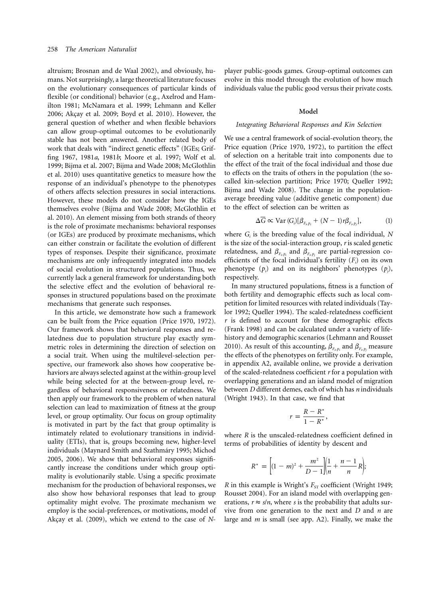altruism; Brosnan and de Waal 2002), and obviously, humans. Not surprisingly, a large theoretical literature focuses on the evolutionary consequences of particular kinds of flexible (or conditional) behavior (e.g., Axelrod and Hamilton 1981; McNamara et al. 1999; Lehmann and Keller 2006; Akçay et al. 2009; Boyd et al. 2010). However, the general question of whether and when flexible behaviors can allow group-optimal outcomes to be evolutionarily stable has not been answered. Another related body of work that deals with "indirect genetic effects" (IGEs; Griffing 1967, 1981*a*, 1981*b*; Moore et al. 1997; Wolf et al. 1999; Bijma et al. 2007; Bijma and Wade 2008; McGlothlin et al. 2010) uses quantitative genetics to measure how the response of an individual's phenotype to the phenotypes of others affects selection pressures in social interactions. However, these models do not consider how the IGEs themselves evolve (Bijma and Wade 2008; McGlothlin et al. 2010). An element missing from both strands of theory is the role of proximate mechanisms: behavioral responses (or IGEs) are produced by proximate mechanisms, which can either constrain or facilitate the evolution of different types of responses. Despite their significance, proximate mechanisms are only infrequently integrated into models of social evolution in structured populations. Thus, we currently lack a general framework for understanding both the selective effect and the evolution of behavioral responses in structured populations based on the proximate mechanisms that generate such responses.

In this article, we demonstrate how such a framework can be built from the Price equation (Price 1970, 1972). Our framework shows that behavioral responses and relatedness due to population structure play exactly symmetric roles in determining the direction of selection on a social trait. When using the multilevel-selection perspective, our framework also shows how cooperative behaviors are always selected against at the within-group level while being selected for at the between-group level, regardless of behavioral responsiveness or relatedness. We then apply our framework to the problem of when natural selection can lead to maximization of fitness at the group level, or group optimality. Our focus on group optimality is motivated in part by the fact that group optimality is intimately related to evolutionary transitions in individuality (ETIs), that is, groups becoming new, higher-level individuals (Maynard Smith and Szathmáry 1995; Michod 2005, 2006). We show that behavioral responses significantly increase the conditions under which group optimality is evolutionarily stable. Using a specific proximate mechanism for the production of behavioral responses, we also show how behavioral responses that lead to group optimality might evolve. The proximate mechanism we employ is the social-preferences, or motivations, model of Akçay et al. (2009), which we extend to the case of N-

player public-goods games. Group-optimal outcomes can evolve in this model through the evolution of how much individuals value the public good versus their private costs.

#### **Model**

#### *Integrating Behavioral Responses and Kin Selection*

We use a central framework of social-evolution theory, the Price equation (Price 1970, 1972), to partition the effect of selection on a heritable trait into components due to the effect of the trait of the focal individual and those due to effects on the traits of others in the population (the socalled kin-selection partition; Price 1970; Queller 1992; Bijma and Wade 2008). The change in the populationaverage breeding value (additive genetic component) due to the effect of selection can be written as

$$
\Delta \overline{G} \propto \text{Var}\,(G_i) [\beta_{F_p p_i} + (N-1)r\beta_{F_p p_j}], \tag{1}
$$

where *Gi* is the breeding value of the focal individual, *N* is the size of the social-interaction group, *r* is scaled genetic relatedness, and  $\beta_{F_p p_i}$  and  $\beta_{F_p p_i}$  are partial-regression coefficients of the focal individual's fertility (*Fi* ) on its own phenotype (*pi* ) and on its neighbors' phenotypes (*pj* ), respectively.

In many structured populations, fitness is a function of both fertility and demographic effects such as local competition for limited resources with related individuals (Taylor 1992; Queller 1994). The scaled-relatedness coefficient *r* is defined to account for these demographic effects (Frank 1998) and can be calculated under a variety of lifehistory and demographic scenarios (Lehmann and Rousset 2010). As result of this accounting,  $\beta_{F_p p_i}$  and  $\beta_{F_p p_j}$  measure the effects of the phenotypes on fertility only. For example, in appendix A2, available online, we provide a derivation of the scaled-relatedness coefficient *r* for a population with overlapping generations and an island model of migration between *D* different demes, each of which has *n* individuals (Wright 1943). In that case, we find that

$$
r=\frac{R-R^*}{1-R^*},
$$

where *R* is the unscaled-relatedness coefficient defined in terms of probabilities of identity by descent and

$$
R^* = \left[ (1 - m)^2 + \frac{m^2}{D - 1} \right] \left( \frac{1}{n} + \frac{n - 1}{n} R \right);
$$

*R* in this example is Wright's *F*<sub>ST</sub> coefficient (Wright 1949; Rousset 2004). For an island model with overlapping generations,  $r \approx s/n$ , where *s* is the probability that adults survive from one generation to the next and *D* and *n* are large and *m* is small (see app. A2). Finally, we make the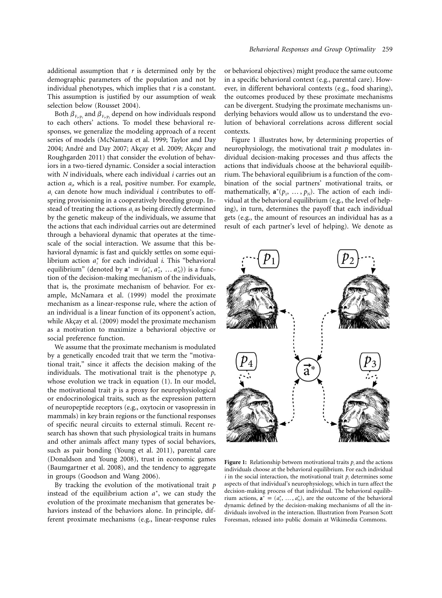additional assumption that *r* is determined only by the demographic parameters of the population and not by individual phenotypes, which implies that *r* is a constant. This assumption is justified by our assumption of weak selection below (Rousset 2004).

Both  $\beta_{F_p p_i}$  and  $\beta_{F_p p_i}$  depend on how individuals respond to each others' actions. To model these behavioral responses, we generalize the modeling approach of a recent series of models (McNamara et al. 1999; Taylor and Day 2004; André and Day 2007; Akçay et al. 2009; Akçay and Roughgarden 2011) that consider the evolution of behaviors in a two-tiered dynamic. Consider a social interaction with *N* individuals, where each individual *i* carries out an action  $a_{\rho}$  which is a real, positive number. For example,  $a_i$  can denote how much individual  $i$  contributes to offspring provisioning in a cooperatively breeding group. Instead of treating the actions *ai* as being directly determined by the genetic makeup of the individuals, we assume that the actions that each individual carries out are determined through a behavioral dynamic that operates at the timescale of the social interaction. We assume that this behavioral dynamic is fast and quickly settles on some equilibrium action  $a_i^*$  for each individual *i*. This "behavioral equilibrium" (denoted by  $\mathbf{a}^* = (a_1^*, a_2^*, \dots, a_N^*)$ ) is a function of the decision-making mechanism of the individuals, that is, the proximate mechanism of behavior. For example, McNamara et al. (1999) model the proximate mechanism as a linear-response rule, where the action of an individual is a linear function of its opponent's action, while Akçay et al. (2009) model the proximate mechanism as a motivation to maximize a behavioral objective or social preference function.

We assume that the proximate mechanism is modulated by a genetically encoded trait that we term the "motivational trait," since it affects the decision making of the individuals. The motivational trait is the phenotype *p*, whose evolution we track in equation (1). In our model, the motivational trait  $p$  is a proxy for neurophysiological or endocrinological traits, such as the expression pattern of neuropeptide receptors (e.g., oxytocin or vasopressin in mammals) in key brain regions or the functional responses of specific neural circuits to external stimuli. Recent research has shown that such physiological traits in humans and other animals affect many types of social behaviors, such as pair bonding (Young et al. 2011), parental care (Donaldson and Young 2008), trust in economic games (Baumgartner et al. 2008), and the tendency to aggregate in groups (Goodson and Wang 2006).

By tracking the evolution of the motivational trait *p* instead of the equilibrium action  $a^*$ , we can study the evolution of the proximate mechanism that generates behaviors instead of the behaviors alone. In principle, different proximate mechanisms (e.g., linear-response rules

or behavioral objectives) might produce the same outcome in a specific behavioral context (e.g., parental care). However, in different behavioral contexts (e.g., food sharing), the outcomes produced by these proximate mechanisms can be divergent. Studying the proximate mechanisms underlying behaviors would allow us to understand the evolution of behavioral correlations across different social contexts.

Figure 1 illustrates how, by determining properties of neurophysiology, the motivational trait *p* modulates individual decision-making processes and thus affects the actions that individuals choose at the behavioral equilibrium. The behavioral equilibrium is a function of the combination of the social partners' motivational traits, or mathematically,  $\mathbf{a}^*(p_1, \ldots, p_N)$ . The action of each individual at the behavioral equilibrium (e.g., the level of helping), in turn, determines the payoff that each individual gets (e.g., the amount of resources an individual has as a result of each partner's level of helping). We denote as



**Figure 1:** Relationship between motivational traits  $p_i$  and the actions individuals choose at the behavioral equilibrium. For each individual  $i$  in the social interaction, the motivational trait  $p_i$  determines some aspects of that individual's neurophysiology, which in turn affect the decision-making process of that individual. The behavioral equilibrium actions,  $\mathbf{a}^* = (a_1^*, \dots, a_N^*)$ , are the outcome of the behavioral dynamic defined by the decision-making mechanisms of all the individuals involved in the interaction. Illustration from Pearson Scott Foresman, released into public domain at Wikimedia Commons.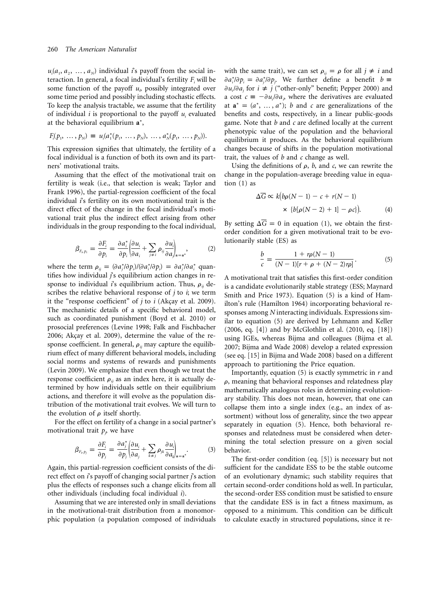$u_i(a_1, a_2, \ldots, a_N)$  individual *i*'s payoff from the social interaction. In general, a focal individual's fertility *Fi* will be some function of the payoff *ui* , possibly integrated over some time period and possibly including stochastic effects. To keep the analysis tractable, we assume that the fertility of individual  $i$  is proportional to the payoff  $u_i$  evaluated at the behavioral equilibrium  $a^*$ ,

$$
F_i(p_1, \ldots, p_N) \equiv u_i(a_1^*(p_1, \ldots, p_N), \ldots, a_N^*(p_1, \ldots, p_N)).
$$

This expression signifies that ultimately, the fertility of a focal individual is a function of both its own and its partners' motivational traits.

Assuming that the effect of the motivational trait on fertility is weak (i.e., that selection is weak; Taylor and Frank 1996), the partial-regression coefficient of the focal individual *i*'s fertility on its own motivational trait is the direct effect of the change in the focal individual's motivational trait plus the indirect effect arising from other individuals in the group responding to the focal individual,

$$
\beta_{F_b p_i} = \frac{\partial F_i}{\partial p_i} = \frac{\partial a_i^*}{\partial p_i} \left( \frac{\partial u_i}{\partial a_i} + \sum_{j \neq i} \rho_{ij} \frac{\partial u_i}{\partial a_j} \right)_{\mathbf{a} = \mathbf{a}^*},
$$
 (2)

where the term  $\rho_{ij} = (\partial a_i^* / \partial p_i) / (\partial a_i^* / \partial p_i) = \partial a_i^* / \partial a_i^*$  quantifies how individual *j*'s equilibrium action changes in response to individual *i*'s equilibrium action. Thus,  $\rho_{ii}$  describes the relative behavioral response of *j* to *i*; we term it the "response coefficient" of  $j$  to  $i$  (Akçay et al. 2009). The mechanistic details of a specific behavioral model, such as coordinated punishment (Boyd et al. 2010) or prosocial preferences (Levine 1998; Falk and Fischbacher 2006; Akçay et al. 2009), determine the value of the response coefficient. In general,  $\rho$ <sub>*ii*</sub> may capture the equilibrium effect of many different behavioral models, including social norms and systems of rewards and punishments (Levin 2009). We emphasize that even though we treat the response coefficient  $\rho_{ij}$  as an index here, it is actually determined by how individuals settle on their equilibrium actions, and therefore it will evolve as the population distribution of the motivational trait evolves. We will turn to the evolution of  $\rho$  itself shortly.

For the effect on fertility of a change in a social partner's motivational trait  $p_j$ , we have

$$
\beta_{F_{\hat{p},p_j}} = \frac{\partial F_i}{\partial p_j} = \frac{\partial a_j^*}{\partial p_j} \left( \frac{\partial u_i}{\partial a_j} + \sum_{k \neq j} \rho_{jk} \frac{\partial u_i}{\partial a_k} \right)_{\mathbf{a} = \mathbf{a}^*}.
$$
 (3)

Again, this partial-regression coefficient consists of the direct effect on *i*'s payoff of changing social partner *j*'s action plus the effects of responses such a change elicits from all other individuals (including focal individual *i*).

Assuming that we are interested only in small deviations in the motivational-trait distribution from a monomorphic population (a population composed of individuals

with the same trait), we can set  $\rho_{ij} = \rho$  for all  $j \neq i$  and  $\partial a_i^* / \partial p_i = \partial a_i^* / \partial p_i$ . We further define a benefit  $b \equiv$  $\partial u_i / \partial a_i$  for  $i \neq j$  ("other-only" benefit; Pepper 2000) and a cost  $c \equiv -\partial u_i / \partial a_i$ , where the derivatives are evaluated at  $\mathbf{a}^* = (a^*, \dots, a^*)$ ; *b* and *c* are generalizations of the benefits and costs, respectively, in a linear public-goods game. Note that *b* and *c* are defined locally at the current phenotypic value of the population and the behavioral equilibrium it produces. As the behavioral equilibrium changes because of shifts in the population motivational trait, the values of *b* and *c* change as well.

Using the definitions of  $\rho$ ,  $b$ , and  $c$ , we can rewrite the change in the population-average breeding value in equation (1) as

$$
\Delta \overline{G} \propto k \big( b\rho (N-1) - c + r(N-1) \times \{ b[\rho(N-2) + 1] - \rho c \} \big).
$$
 (4)

By setting  $\Delta \overline{G} = 0$  in equation (1), we obtain the firstorder condition for a given motivational trait to be evolutionarily stable (ES) as

$$
\frac{b}{c} = \frac{1 + r\rho(N-1)}{(N-1)[r + \rho + (N-2)r\rho]}.
$$
\n(5)

A motivational trait that satisfies this first-order condition is a candidate evolutionarily stable strategy (ESS; Maynard Smith and Price 1973). Equation (5) is a kind of Hamilton's rule (Hamilton 1964) incorporating behavioral responses among *N* interacting individuals. Expressions similar to equation (5) are derived by Lehmann and Keller (2006, eq. [4]) and by McGlothlin et al. (2010, eq. [18]) using IGEs, whereas Bijma and colleagues (Bijma et al. 2007; Bijma and Wade 2008) develop a related expression (see eq. [15] in Bijma and Wade 2008) based on a different approach to partitioning the Price equation.

Importantly, equation (5) is exactly symmetric in *r* and  $\rho$ , meaning that behavioral responses and relatedness play mathematically analogous roles in determining evolutionary stability. This does not mean, however, that one can collapse them into a single index (e.g., an index of assortment) without loss of generality, since the two appear separately in equation (5). Hence, both behavioral responses and relatedness must be considered when determining the total selection pressure on a given social behavior.

The first-order condition (eq. [5]) is necessary but not sufficient for the candidate ESS to be the stable outcome of an evolutionary dynamic; such stability requires that certain second-order conditions hold as well. In particular, the second-order ESS condition must be satisfied to ensure that the candidate ESS is in fact a fitness maximum, as opposed to a minimum. This condition can be difficult to calculate exactly in structured populations, since it re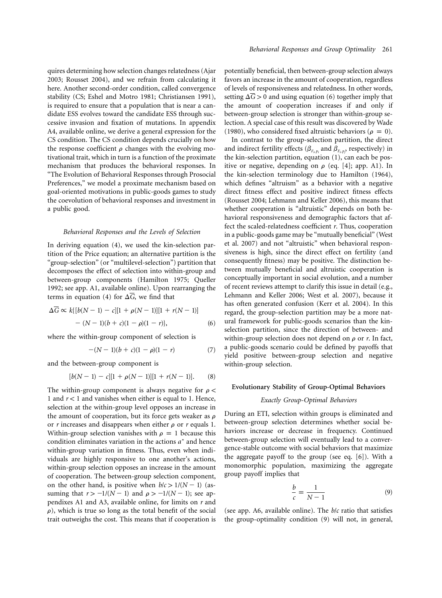quires determining how selection changes relatedness (Ajar 2003; Rousset 2004), and we refrain from calculating it here. Another second-order condition, called convergence stability (CS; Eshel and Motro 1981; Christiansen 1991), is required to ensure that a population that is near a candidate ESS evolves toward the candidate ESS through successive invasion and fixation of mutations. In appendix A4, available online, we derive a general expression for the CS condition. The CS condition depends crucially on how the response coefficient  $\rho$  changes with the evolving motivational trait, which in turn is a function of the proximate mechanism that produces the behavioral responses. In "The Evolution of Behavioral Responses through Prosocial Preferences," we model a proximate mechanism based on goal-oriented motivations in public-goods games to study the coevolution of behavioral responses and investment in a public good.

#### *Behavioral Responses and the Levels of Selection*

In deriving equation (4), we used the kin-selection partition of the Price equation; an alternative partition is the "group-selection" (or "multilevel-selection") partition that decomposes the effect of selection into within-group and between-group components (Hamilton 1975; Queller 1992; see app. A1, available online). Upon rearranging the terms in equation (4) for  $\Delta \overline{G}$ , we find that

$$
\Delta \overline{G} \propto k \{ [b(N-1) - c][1 + \rho(N-1)][1 + r(N-1)] - (N-1)(b+c)(1-\rho)(1-r) \},
$$
\n(6)

where the within-group component of selection is

$$
-(N-1)(b+c)(1-\rho)(1-r) \tag{7}
$$

and the between-group component is

$$
[b(N-1) - c][1 + \rho(N-1)][1 + r(N-1)]. \qquad (8)
$$

The within-group component is always negative for  $\rho$  < 1 and  $r < 1$  and vanishes when either is equal to 1. Hence, selection at the within-group level opposes an increase in the amount of cooperation, but its force gets weaker as  $\rho$ or  $r$  increases and disappears when either  $\rho$  or  $r$  equals 1. Within-group selection vanishes with  $\rho = 1$  because this condition eliminates variation in the actions  $a^*$  and hence within-group variation in fitness. Thus, even when individuals are highly responsive to one another's actions, within-group selection opposes an increase in the amount of cooperation. The between-group selection component, on the other hand, is positive when  $b/c > 1/(N - 1)$  (assuming that  $r > -1/(N - 1)$  and  $\rho > -1/(N - 1)$ ; see appendixes A1 and A3, available online, for limits on *r* and  $\rho$ ), which is true so long as the total benefit of the social trait outweighs the cost. This means that if cooperation is

potentially beneficial, then between-group selection always favors an increase in the amount of cooperation, regardless of levels of responsiveness and relatedness. In other words, setting  $\Delta \overline{G} > 0$  and using equation (6) together imply that the amount of cooperation increases if and only if between-group selection is stronger than within-group selection. A special case of this result was discovered by Wade (1980), who considered fixed altruistic behaviors ( $\rho = 0$ ).

In contrast to the group-selection partition, the direct and indirect fertility effects ( $\beta_{F, p}$ , and  $\beta_{F, p}$ , respectively) in the kin-selection partition, equation (1), can each be positive or negative, depending on  $\rho$  (eq. [4]; app. A1). In the kin-selection terminology due to Hamilton (1964), which defines "altruism" as a behavior with a negative direct fitness effect and positive indirect fitness effects (Rousset 2004; Lehmann and Keller 2006), this means that whether cooperation is "altruistic" depends on both behavioral responsiveness and demographic factors that affect the scaled-relatedness coefficient *r*. Thus, cooperation in a public-goods game may be "mutually beneficial" (West et al. 2007) and not "altruistic" when behavioral responsiveness is high, since the direct effect on fertility (and consequently fitness) may be positive. The distinction between mutually beneficial and altruistic cooperation is conceptually important in social evolution, and a number of recent reviews attempt to clarify this issue in detail (e.g., Lehmann and Keller 2006; West et al. 2007), because it has often generated confusion (Kerr et al. 2004). In this regard, the group-selection partition may be a more natural framework for public-goods scenarios than the kinselection partition, since the direction of between- and within-group selection does not depend on  $\rho$  or  $r$ . In fact, a public-goods scenario could be defined by payoffs that yield positive between-group selection and negative within-group selection.

### **Evolutionary Stability of Group-Optimal Behaviors**

#### *Exactly Group-Optimal Behaviors*

During an ETI, selection within groups is eliminated and between-group selection determines whether social behaviors increase or decrease in frequency. Continued between-group selection will eventually lead to a convergence-stable outcome with social behaviors that maximize the aggregate payoff to the group (see eq. [6]). With a monomorphic population, maximizing the aggregate group payoff implies that

$$
\frac{b}{c} = \frac{1}{N - 1} \tag{9}
$$

(see app. A6, available online). The  $b/c$  ratio that satisfies the group-optimality condition (9) will not, in general,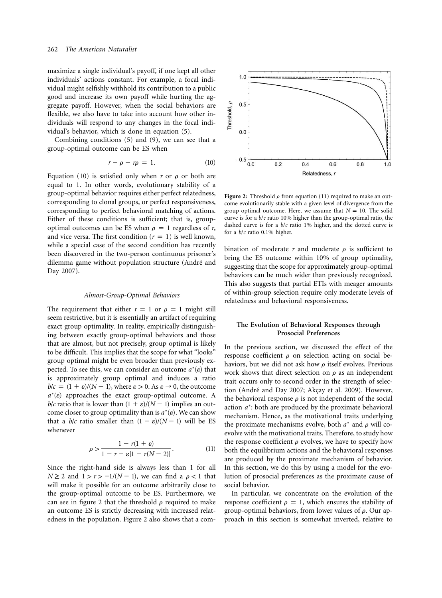maximize a single individual's payoff, if one kept all other individuals' actions constant. For example, a focal individual might selfishly withhold its contribution to a public good and increase its own payoff while hurting the aggregate payoff. However, when the social behaviors are flexible, we also have to take into account how other individuals will respond to any changes in the focal individual's behavior, which is done in equation (5).

Combining conditions (5) and (9), we can see that a group-optimal outcome can be ES when

$$
r + \rho - r\rho = 1. \tag{10}
$$

Equation (10) is satisfied only when  $r$  or  $\rho$  or both are equal to 1. In other words, evolutionary stability of a group-optimal behavior requires either perfect relatedness, corresponding to clonal groups, or perfect responsiveness, corresponding to perfect behavioral matching of actions. Either of these conditions is sufficient; that is, groupoptimal outcomes can be ES when  $\rho = 1$  regardless of r, and vice versa. The first condition  $(r = 1)$  is well known, while a special case of the second condition has recently been discovered in the two-person continuous prisoner's dilemma game without population structure (André and Day 2007).

#### *Almost-Group-Optimal Behaviors*

The requirement that either  $r = 1$  or  $\rho = 1$  might still seem restrictive, but it is essentially an artifact of requiring exact group optimality. In reality, empirically distinguishing between exactly group-optimal behaviors and those that are almost, but not precisely, group optimal is likely to be difficult. This implies that the scope for what "looks" group optimal might be even broader than previously expected. To see this, we can consider an outcome  $a^*(\varepsilon)$  that is approximately group optimal and induces a ratio  $b/c = (1 + \varepsilon)/(N - 1)$ , where  $\varepsilon > 0$ . As  $\varepsilon \to 0$ , the outcome a<sup>\*</sup>( $\varepsilon$ ) approaches the exact group-optimal outcome. A *b*/*c* ratio that is lower than  $(1 + \varepsilon)/(N - 1)$  implies an outcome closer to group optimality than is  $a^*(\varepsilon)$ . We can show that a *b*/*c* ratio smaller than  $(1 + \varepsilon)/(N - 1)$  will be ES whenever

$$
\rho > \frac{1 - r(1 + \varepsilon)}{1 - r + \varepsilon[1 + r(N - 2)]}.
$$
\n(11)

Since the right-hand side is always less than 1 for all  $N \ge 2$  and  $1 > r > -1/(N - 1)$ , we can find a  $\rho < 1$  that will make it possible for an outcome arbitrarily close to the group-optimal outcome to be ES. Furthermore, we can see in figure 2 that the threshold  $\rho$  required to make an outcome ES is strictly decreasing with increased relatedness in the population. Figure 2 also shows that a com-



**Figure 2:** Threshold  $\rho$  from equation (11) required to make an outcome evolutionarily stable with a given level of divergence from the group-optimal outcome. Here, we assume that  $N = 10$ . The solid curve is for a  $b/c$  ratio 10% higher than the group-optimal ratio, the dashed curve is for a  $b/c$  ratio 1% higher, and the dotted curve is for a  $b/c$  ratio 0.1% higher.

bination of moderate  $r$  and moderate  $\rho$  is sufficient to bring the ES outcome within 10% of group optimality, suggesting that the scope for approximately group-optimal behaviors can be much wider than previously recognized. This also suggests that partial ETIs with meager amounts of within-group selection require only moderate levels of relatedness and behavioral responsiveness.

#### **The Evolution of Behavioral Responses through Prosocial Preferences**

In the previous section, we discussed the effect of the response coefficient  $\rho$  on selection acting on social behaviors, but we did not ask how  $\rho$  itself evolves. Previous work shows that direct selection on  $\rho$  as an independent trait occurs only to second order in the strength of selection (André and Day 2007; Akçay et al. 2009). However, the behavioral response  $\rho$  is not independent of the social action *a*<sup>\*</sup>: both are produced by the proximate behavioral mechanism. Hence, as the motivational traits underlying the proximate mechanisms evolve, both  $a^*$  and  $\rho$  will coevolve with the motivational traits. Therefore, to study how the response coefficient  $\rho$  evolves, we have to specify how both the equilibrium actions and the behavioral responses are produced by the proximate mechanism of behavior. In this section, we do this by using a model for the evolution of prosocial preferences as the proximate cause of social behavior.

In particular, we concentrate on the evolution of the response coefficient  $\rho = 1$ , which ensures the stability of group-optimal behaviors, from lower values of  $\rho$ . Our approach in this section is somewhat inverted, relative to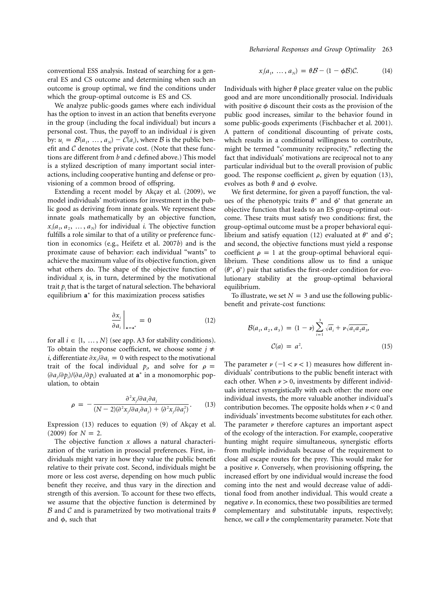conventional ESS analysis. Instead of searching for a general ES and CS outcome and determining when such an outcome is group optimal, we find the conditions under which the group-optimal outcome is ES and CS.

We analyze public-goods games where each individual has the option to invest in an action that benefits everyone in the group (including the focal individual) but incurs a personal cost. Thus, the payoff to an individual *i* is given by:  $u_i = \mathcal{B}(a_1, \ldots, a_N) - \mathcal{C}(a_i)$ , where  $\mathcal B$  is the public benefit and  $C$  denotes the private cost. (Note that these functions are different from *b* and *c* defined above.) This model is a stylized description of many important social interactions, including cooperative hunting and defense or provisioning of a common brood of offspring.

Extending a recent model by Akçay et al. (2009), we model individuals' motivations for investment in the public good as deriving from innate goals. We represent these innate goals mathematically by an objective function,  $x_i$ ( $a_1, a_2, ..., a_N$ ) for individual *i*. The objective function fulfills a role similar to that of a utility or preference function in economics (e.g., Heifetz et al. 2007*b*) and is the proximate cause of behavior: each individual "wants" to achieve the maximum value of its objective function, given what others do. The shape of the objective function of individual  $x_i$  is, in turn, determined by the motivational trait *pi* that is the target of natural selection. The behavioral equilibrium  $a^*$  for this maximization process satisfies

$$
\left. \frac{\partial x_i}{\partial a_i} \right|_{\mathbf{a} = \mathbf{a}^*} = 0 \tag{12}
$$

for all  $i \in \{1, ..., N\}$  (see app. A3 for stability conditions). To obtain the response coefficient, we choose some  $j \neq j$ *i*, differentiate  $\partial x_i / \partial a_i = 0$  with respect to the motivational trait of the focal individual  $p_{\rho}$  and solve for  $\rho =$  $(\partial a_i/\partial p_i)/(\partial a_i/\partial p_i)$  evaluated at  $\mathbf{a}^*$  in a monomorphic population, to obtain

$$
\rho = -\frac{\partial^2 x_j/\partial a_i \partial a_j}{(N-2)(\partial^2 x_j/\partial a_i \partial a_j) + (\partial^2 x_j/\partial a_j^2)}.
$$
 (13)

Expression  $(13)$  reduces to equation  $(9)$  of Akçay et al.  $(2009)$  for  $N = 2$ .

The objective function *x* allows a natural characterization of the variation in prosocial preferences. First, individuals might vary in how they value the public benefit relative to their private cost. Second, individuals might be more or less cost averse, depending on how much public benefit they receive, and thus vary in the direction and strength of this aversion. To account for these two effects, we assume that the objective function is determined by B and C and is parametrized by two motivational traits  $\theta$ and  $\phi$ , such that

$$
x_i(a_1, \ldots, a_N) = \theta \mathcal{B} - (1 - \phi \mathcal{B})\mathcal{C}.
$$
 (14)

Individuals with higher  $\theta$  place greater value on the public good and are more unconditionally prosocial. Individuals with positive  $\phi$  discount their costs as the provision of the public good increases, similar to the behavior found in some public-goods experiments (Fischbacher et al. 2001). A pattern of conditional discounting of private costs, which results in a conditional willingness to contribute, might be termed "community reciprocity," reflecting the fact that individuals' motivations are reciprocal not to any particular individual but to the overall provision of public good. The response coefficient  $\rho$ , given by equation (13), evolves as both  $\theta$  and  $\phi$  evolve.

We first determine, for given a payoff function, the values of the phenotypic traits  $\theta^*$  and  $\phi^*$  that generate an objective function that leads to an ES group-optimal outcome. These traits must satisfy two conditions: first, the group-optimal outcome must be a proper behavioral equilibrium and satisfy equation (12) evaluated at  $\theta^*$  and  $\phi^*$ ; and second, the objective functions must yield a response coefficient  $\rho = 1$  at the group-optimal behavioral equilibrium. These conditions allow us to find a unique  $(\theta^*, \phi^*)$  pair that satisfies the first-order condition for evolutionary stability at the group-optimal behavioral equilibrium.

To illustrate, we set  $N = 3$  and use the following publicbenefit and private-cost functions:

$$
\mathcal{B}(a_1, a_2, a_3) = (1 - \nu) \sum_{i=1}^{3} \sqrt{a_i} + \nu \sqrt{a_1 a_2 a_3},
$$
  

$$
\mathcal{C}(a) = a^2.
$$
 (15)

The parameter  $\nu$  ( $-1 < \nu < 1$ ) measures how different individuals' contributions to the public benefit interact with each other. When  $\nu > 0$ , investments by different individuals interact synergistically with each other: the more one individual invests, the more valuable another individual's contribution becomes. The opposite holds when  $\nu < 0$  and individuals' investments become substitutes for each other. The parameter  $\nu$  therefore captures an important aspect of the ecology of the interaction. For example, cooperative hunting might require simultaneous, synergistic efforts from multiple individuals because of the requirement to close all escape routes for the prey. This would make for a positive  $\nu$ . Conversely, when provisioning offspring, the increased effort by one individual would increase the food coming into the nest and would decrease value of additional food from another individual. This would create a negative  $\nu$ . In economics, these two possibilities are termed complementary and substitutable inputs, respectively; hence, we call  $\nu$  the complementarity parameter. Note that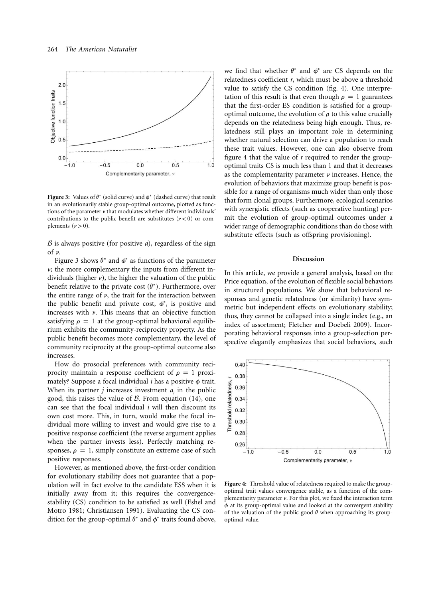

**Figure 3:** Values of  $\theta^*$  (solid curve) and  $\phi^*$  (dashed curve) that result in an evolutionarily stable group-optimal outcome, plotted as functions of the parameter  $\nu$  that modulates whether different individuals' contributions to the public benefit are substitutes  $(\nu < 0)$  or complements  $(\nu > 0)$ .

B is always positive (for positive *a*), regardless of the sign of  $\nu$ .

Figure 3 shows  $\theta^*$  and  $\phi^*$  as functions of the parameter  $\nu$ ; the more complementary the inputs from different individuals (higher  $\nu$ ), the higher the valuation of the public benefit relative to the private cost  $(\theta^*)$ . Furthermore, over the entire range of  $\nu$ , the trait for the interaction between the public benefit and private cost,  $\phi^*$ , is positive and increases with  $\nu$ . This means that an objective function satisfying  $\rho = 1$  at the group-optimal behavioral equilibrium exhibits the community-reciprocity property. As the public benefit becomes more complementary, the level of community reciprocity at the group-optimal outcome also increases.

How do prosocial preferences with community reciprocity maintain a response coefficient of  $\rho = 1$  proximately? Suppose a focal individual  $i$  has a positive  $\phi$  trait. When its partner *j* increases investment *aj* in the public good, this raises the value of  $\beta$ . From equation (14), one can see that the focal individual *i* will then discount its own cost more. This, in turn, would make the focal individual more willing to invest and would give rise to a positive response coefficient (the reverse argument applies when the partner invests less). Perfectly matching responses,  $\rho = 1$ , simply constitute an extreme case of such positive responses.

However, as mentioned above, the first-order condition for evolutionary stability does not guarantee that a population will in fact evolve to the candidate ESS when it is initially away from it; this requires the convergencestability (CS) condition to be satisfied as well (Eshel and Motro 1981; Christiansen 1991). Evaluating the CS condition for the group-optimal  $\theta^*$  and  $\phi^*$  traits found above,

we find that whether  $\theta^*$  and  $\phi^*$  are CS depends on the relatedness coefficient *r*, which must be above a threshold value to satisfy the CS condition (fig. 4). One interpretation of this result is that even though  $\rho = 1$  guarantees that the first-order ES condition is satisfied for a groupoptimal outcome, the evolution of  $\rho$  to this value crucially depends on the relatedness being high enough. Thus, relatedness still plays an important role in determining whether natural selection can drive a population to reach these trait values. However, one can also observe from figure 4 that the value of *r* required to render the groupoptimal traits CS is much less than 1 and that it decreases as the complementarity parameter  $\nu$  increases. Hence, the evolution of behaviors that maximize group benefit is possible for a range of organisms much wider than only those that form clonal groups. Furthermore, ecological scenarios with synergistic effects (such as cooperative hunting) permit the evolution of group-optimal outcomes under a wider range of demographic conditions than do those with substitute effects (such as offspring provisioning).

#### **Discussion**

In this article, we provide a general analysis, based on the Price equation, of the evolution of flexible social behaviors in structured populations. We show that behavioral responses and genetic relatedness (or similarity) have symmetric but independent effects on evolutionary stability; thus, they cannot be collapsed into a single index (e.g., an index of assortment; Fletcher and Doebeli 2009). Incorporating behavioral responses into a group-selection perspective elegantly emphasizes that social behaviors, such



**Figure 4:** Threshold value of relatedness required to make the groupoptimal trait values convergence stable, as a function of the complementarity parameter  $\nu$ . For this plot, we fixed the interaction term  $\phi$  at its group-optimal value and looked at the convergent stability of the valuation of the public good  $\theta$  when approaching its groupoptimal value.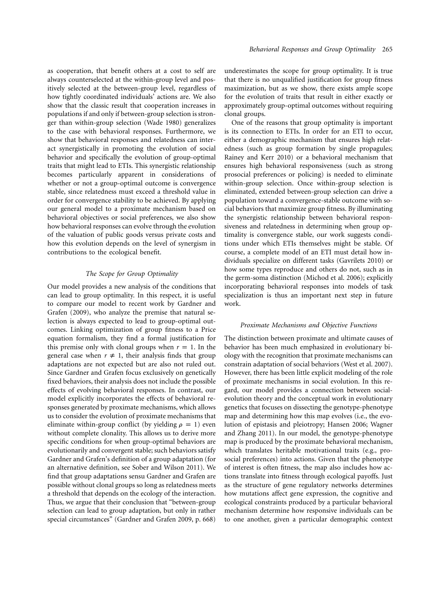as cooperation, that benefit others at a cost to self are always counterselected at the within-group level and positively selected at the between-group level, regardless of how tightly coordinated individuals' actions are. We also show that the classic result that cooperation increases in populations if and only if between-group selection is stronger than within-group selection (Wade 1980) generalizes to the case with behavioral responses. Furthermore, we show that behavioral responses and relatedness can interact synergistically in promoting the evolution of social behavior and specifically the evolution of group-optimal traits that might lead to ETIs. This synergistic relationship becomes particularly apparent in considerations of whether or not a group-optimal outcome is convergence stable, since relatedness must exceed a threshold value in order for convergence stability to be achieved. By applying our general model to a proximate mechanism based on behavioral objectives or social preferences, we also show how behavioral responses can evolve through the evolution of the valuation of public goods versus private costs and how this evolution depends on the level of synergism in contributions to the ecological benefit.

#### *The Scope for Group Optimality*

Our model provides a new analysis of the conditions that can lead to group optimality. In this respect, it is useful to compare our model to recent work by Gardner and Grafen (2009), who analyze the premise that natural selection is always expected to lead to group-optimal outcomes. Linking optimization of group fitness to a Price equation formalism, they find a formal justification for this premise only with clonal groups when  $r = 1$ . In the general case when  $r \neq 1$ , their analysis finds that group adaptations are not expected but are also not ruled out. Since Gardner and Grafen focus exclusively on genetically fixed behaviors, their analysis does not include the possible effects of evolving behavioral responses. In contrast, our model explicitly incorporates the effects of behavioral responses generated by proximate mechanisms, which allows us to consider the evolution of proximate mechanisms that eliminate within-group conflict (by yielding  $\rho = 1$ ) even without complete clonality. This allows us to derive more specific conditions for when group-optimal behaviors are evolutionarily and convergent stable; such behaviors satisfy Gardner and Grafen's definition of a group adaptation (for an alternative definition, see Sober and Wilson 2011). We find that group adaptations sensu Gardner and Grafen are possible without clonal groups so long as relatedness meets a threshold that depends on the ecology of the interaction. Thus, we argue that their conclusion that "between-group selection can lead to group adaptation, but only in rather special circumstances" (Gardner and Grafen 2009, p. 668)

underestimates the scope for group optimality. It is true that there is no unqualified justification for group fitness maximization, but as we show, there exists ample scope for the evolution of traits that result in either exactly or approximately group-optimal outcomes without requiring clonal groups.

One of the reasons that group optimality is important is its connection to ETIs. In order for an ETI to occur, either a demographic mechanism that ensures high relatedness (such as group formation by single propagules; Rainey and Kerr 2010) or a behavioral mechanism that ensures high behavioral responsiveness (such as strong prosocial preferences or policing) is needed to eliminate within-group selection. Once within-group selection is eliminated, extended between-group selection can drive a population toward a convergence-stable outcome with social behaviors that maximize group fitness. By illuminating the synergistic relationship between behavioral responsiveness and relatedness in determining when group optimality is convergence stable, our work suggests conditions under which ETIs themselves might be stable. Of course, a complete model of an ETI must detail how individuals specialize on different tasks (Gavrilets 2010) or how some types reproduce and others do not, such as in the germ-soma distinction (Michod et al. 2006); explicitly incorporating behavioral responses into models of task specialization is thus an important next step in future work.

#### *Proximate Mechanisms and Objective Functions*

The distinction between proximate and ultimate causes of behavior has been much emphasized in evolutionary biology with the recognition that proximate mechanisms can constrain adaptation of social behaviors (West et al. 2007). However, there has been little explicit modeling of the role of proximate mechanisms in social evolution. In this regard, our model provides a connection between socialevolution theory and the conceptual work in evolutionary genetics that focuses on dissecting the genotype-phenotype map and determining how this map evolves (i.e., the evolution of epistasis and pleiotropy; Hansen 2006; Wagner and Zhang 2011). In our model, the genotype-phenotype map is produced by the proximate behavioral mechanism, which translates heritable motivational traits (e.g., prosocial preferences) into actions. Given that the phenotype of interest is often fitness, the map also includes how actions translate into fitness through ecological payoffs. Just as the structure of gene regulatory networks determines how mutations affect gene expression, the cognitive and ecological constraints produced by a particular behavioral mechanism determine how responsive individuals can be to one another, given a particular demographic context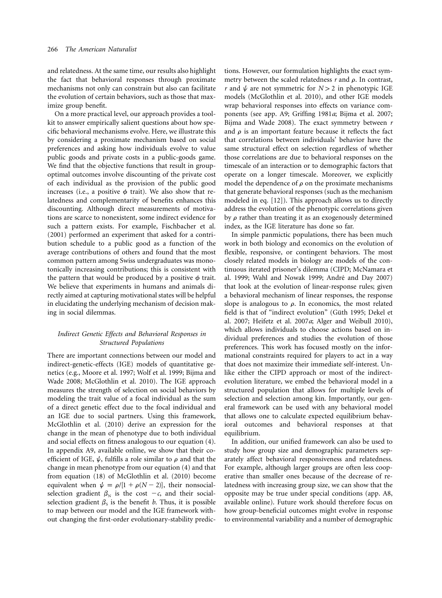and relatedness. At the same time, our results also highlight the fact that behavioral responses through proximate mechanisms not only can constrain but also can facilitate the evolution of certain behaviors, such as those that maximize group benefit.

On a more practical level, our approach provides a toolkit to answer empirically salient questions about how specific behavioral mechanisms evolve. Here, we illustrate this by considering a proximate mechanism based on social preferences and asking how individuals evolve to value public goods and private costs in a public-goods game. We find that the objective functions that result in groupoptimal outcomes involve discounting of the private cost of each individual as the provision of the public good increases (i.e., a positive  $\phi$  trait). We also show that relatedness and complementarity of benefits enhances this discounting. Although direct measurements of motivations are scarce to nonexistent, some indirect evidence for such a pattern exists. For example, Fischbacher et al. (2001) performed an experiment that asked for a contribution schedule to a public good as a function of the average contributions of others and found that the most common pattern among Swiss undergraduates was monotonically increasing contributions; this is consistent with the pattern that would be produced by a positive  $\phi$  trait. We believe that experiments in humans and animals directly aimed at capturing motivational states will be helpful in elucidating the underlying mechanism of decision making in social dilemmas.

#### *Indirect Genetic Effects and Behavioral Responses in Structured Populations*

There are important connections between our model and indirect-genetic-effects (IGE) models of quantitative genetics (e.g., Moore et al. 1997; Wolf et al. 1999; Bijma and Wade 2008; McGlothlin et al. 2010). The IGE approach measures the strength of selection on social behaviors by modeling the trait value of a focal individual as the sum of a direct genetic effect due to the focal individual and an IGE due to social partners. Using this framework, McGlothlin et al. (2010) derive an expression for the change in the mean of phenotype due to both individual and social effects on fitness analogous to our equation (4). In appendix A9, available online, we show that their coefficient of IGE,  $\psi$ , fulfills a role similar to  $\rho$  and that the change in mean phenotype from our equation (4) and that from equation (18) of McGlothlin et al. (2010) become equivalent when  $\psi = \rho/[1 + \rho(N - 2)]$ , their nonsocialselection gradient  $\beta_{N}$  is the cost  $-c$ , and their socialselection gradient  $\beta_s$  is the benefit *b*. Thus, it is possible to map between our model and the IGE framework without changing the first-order evolutionary-stability predictions. However, our formulation highlights the exact symmetry between the scaled relatedness  $r$  and  $\rho$ . In contrast, *r* and  $\psi$  are not symmetric for  $N > 2$  in phenotypic IGE models (McGlothlin et al. 2010), and other IGE models wrap behavioral responses into effects on variance components (see app. A9; Griffing 1981*a*; Bijma et al. 2007; Bijma and Wade 2008). The exact symmetry between *r* and  $\rho$  is an important feature because it reflects the fact that correlations between individuals' behavior have the same structural effect on selection regardless of whether those correlations are due to behavioral responses on the timescale of an interaction or to demographic factors that operate on a longer timescale. Moreover, we explicitly model the dependence of  $\rho$  on the proximate mechanisms that generate behavioral responses (such as the mechanism modeled in eq. [12]). This approach allows us to directly address the evolution of the phenotypic correlations given by  $\rho$  rather than treating it as an exogenously determined index, as the IGE literature has done so far.

In simple panmictic populations, there has been much work in both biology and economics on the evolution of flexible, responsive, or contingent behaviors. The most closely related models in biology are models of the continuous iterated prisoner's dilemma (CIPD; McNamara et al. 1999; Wahl and Nowak 1999; Andre´ and Day 2007) that look at the evolution of linear-response rules; given a behavioral mechanism of linear responses, the response slope is analogous to  $\rho$ . In economics, the most related field is that of "indirect evolution" (Güth 1995; Dekel et al. 2007; Heifetz et al. 2007*a*; Alger and Weibull 2010), which allows individuals to choose actions based on individual preferences and studies the evolution of those preferences. This work has focused mostly on the informational constraints required for players to act in a way that does not maximize their immediate self-interest. Unlike either the CIPD approach or most of the indirectevolution literature, we embed the behavioral model in a structured population that allows for multiple levels of selection and selection among kin. Importantly, our general framework can be used with any behavioral model that allows one to calculate expected equilibrium behavioral outcomes and behavioral responses at that equilibrium.

In addition, our unified framework can also be used to study how group size and demographic parameters separately affect behavioral responsiveness and relatedness. For example, although larger groups are often less cooperative than smaller ones because of the decrease of relatedness with increasing group size, we can show that the opposite may be true under special conditions (app. A8, available online). Future work should therefore focus on how group-beneficial outcomes might evolve in response to environmental variability and a number of demographic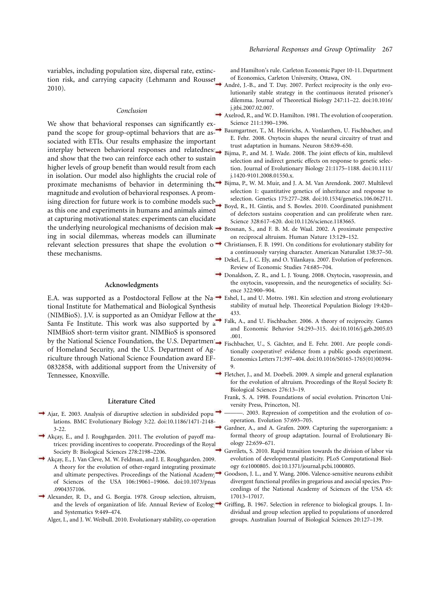variables, including population size, dispersal rate, extinction risk, and carrying capacity (Lehmann and Rousset 2010).

#### *Conclusion*

We show that behavioral responses can significantly expand the scope for group-optimal behaviors that are associated with ETIs. Our results emphasize the important interplay between behavioral responses and relatedness  $\rightarrow$   $\frac{1}{2}$  and M I Wade 2008. The joint effects of and show that the two can reinforce each other to sustain higher levels of group benefit than would result from each in isolation. Our model also highlights the crucial role of proximate mechanisms of behavior in determining the Bijma, P., W. M. Muir, and J. A. M. Van Arendonk. 2007. Multilevel magnitude and evolution of behavioral responses. A promising direction for future work is to combine models such as this one and experiments in humans and animals aimed at capturing motivational states: experiments can elucidate the underlying neurological mechanisms of decision mak-Brosnan, S., and F. B. M. de Waal. 2002. A proximate perspective ing in social dilemmas, whereas models can illuminate relevant selection pressures that shape the evolution  $o$ . these mechanisms.

#### **Acknowledgments**

E.A. was supported as a Postdoctoral Fellow at the Na-Eshel, I., and U. Motro. 1981. Kin selection and strong evolutionary tional Institute for Mathematical and Biological Synthesis (NIMBioS). J.V. is supported as an Omidyar Fellow at the Santa Fe Institute. This work was also supported by a NIMBioS short-term visitor grant. NIMBioS is sponsored by the National Science Foundation, the U.S. Departmen  $\rightarrow$  Fischba of Homeland Security, and the U.S. Department of Agriculture through National Science Foundation award EF-0832858, with additional support from the University of Tennessee, Knoxville.

#### **Literature Cited**

- Ajar, E. 2003. Analysis of disruptive selection in subdivided populations. BMC Evolutionary Biology 3:22. doi:10.1186/1471-2148- 3-22.
- Akcay, E., and J. Roughgarden. 2011. The evolution of payoff matrices: providing incentives to cooperate. Proceedings of the Royal Society B: Biological Sciences 278:2198–2206.
- Akçay, E., J. Van Cleve, M. W. Feldman, and J. E. Roughgarden. 2009. A theory for the evolution of other-regard integrating proximate and ultimate perspectives. Proceedings of the National Academy of Sciences of the USA 106:19061–19066. doi:10.1073/pnas .0904357106.
- Alexander, R. D., and G. Borgia. 1978. Group selection, altruism, and the levels of organization of life. Annual Review of Ecology and Systematics 9:449–474.

Alger, I., and J. W. Weibull. 2010. Evolutionary stability, co-operation

and Hamilton's rule. Carleton Economic Paper 10-11. Department of Economics, Carleton University, Ottawa, ON.

- André, J.-B., and T. Day. 2007. Perfect reciprocity is the only evolutionarily stable strategy in the continuous iterated prisoner's dilemma. Journal of Theoretical Biology 247:11–22. doi:10.1016/ j.jtbi.2007.02.007.
- Axelrod, R., and W. D. Hamilton. 1981. The evolution of cooperation. Science 211:1390–1396.
	- Baumgartner, T., M. Heinrichs, A. Vonlanthen, U. Fischbacher, and E. Fehr. 2008. Oxytocin shapes the neural circuitry of trust and
- Bijma, P., and M. J. Wade. 2008. The joint effects of kin, multilevel selection and indirect genetic effects on response to genetic selection. Journal of Evolutionary Biology 21:1175–1188. doi:10.1111/ j.1420-9101.2008.01550.x.
- selection 1: quantitative genetics of inheritance and response to selection. Genetics 175:277–288. doi:10.1534/genetics.106.062711.
- Boyd, R., H. Gintis, and S. Bowles. 2010. Coordinated punishment of defectors sustains cooperation and can proliferate when rare. Science 328:617–620. doi:10.1126/science.1183665.
- on reciprocal altruism. Human Nature 13:129–152.
- Christiansen, F. B. 1991. On conditions for evolutionary stability for a continuously varying character. American Naturalist 138:37–50.
- Dekel, E., J. C. Ely, and O. Yilankaya. 2007. Evolution of preferences. Review of Economic Studies 74:685–704.
- Donaldson, Z. R., and L. J. Young. 2008. Oxytocin, vasopressin, and the oxytocin, vasopressin, and the neurogenetics of sociality. Science 322:900–904.
- stability of mutual help. Theoretical Population Biology 19:420– 433.
- Falk, A., and U. Fischbacher. 2006. A theory of reciprocity. Games and Economic Behavior 54:293–315. doi:10.1016/j.geb.2005.03
- Fischbacher, U., S. Gächter, and E. Fehr. 2001. Are people conditionally cooperative? evidence from a public goods experiment. Economics Letters 71:397–404. doi:10.1016/S0165-1765(01)00394- 9.
- Fletcher, J., and M. Doebeli. 2009. A simple and general explanation for the evolution of altruism. Proceedings of the Royal Society B: Biological Sciences 276:13–19.
- Frank, S. A. 1998. Foundations of social evolution. Princeton University Press, Princeton, NJ.
- ———. 2003. Repression of competition and the evolution of cooperation. Evolution 57:693–705.
- Gardner, A., and A. Grafen. 2009. Capturing the superorganism: a formal theory of group adaptation. Journal of Evolutionary Biology 22:659–671.
- Gavrilets, S. 2010. Rapid transition towards the division of labor via evolution of developmental plasticity. PLoS Computational Biology 6:e1000805. doi:10.1371/journal.pcbi.1000805.
- Goodson, J. L., and Y. Wang. 2006. Valence-sensitive neurons exhibit divergent functional profiles in gregarious and asocial species. Proceedings of the National Academy of Sciences of the USA 45: 17013–17017.
- Griffing, B. 1967. Selection in reference to biological groups. I. Individual and group selection applied to populations of unordered groups. Australian Journal of Biological Sciences 20:127–139.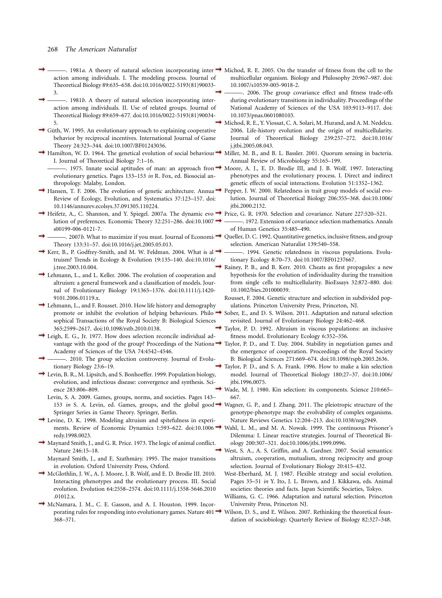- ———. 1981*a*. A theory of natural selection incorporating inter→ Michod, R. E. 2005. On the transfer of fitness from the cell to the action among individuals. I. The modeling process. Journal of Theoretical Biology 89:635–658. doi:10.1016/0022-5193(81)90033- 3.
- ———. 1981*b*. A theory of natural selection incorporating interaction among individuals. II. Use of related groups. Journal of Theoretical Biology 89:659–677. doi:10.1016/0022-5193(81)90034- 5.
- Güth, W. 1995. An evolutionary approach to explaining cooperative behavior by reciprocal incentives. International Journal of Game Theory 24:323–344. doi:10.1007/BF01243036.
- $\rightarrow$  Hamilton, W. D. 1964. The genetical evolution of social behaviour. I. Journal of Theoretical Biology 7:1–16.
	- ———. 1975. Innate social aptitudes of man: an approach from Moore, A. J., E. D. Brodie III, and J. B. Wolf. 1997. Interacting evolutionary genetics. Pages 133–153 *in* R. Fox, ed. Biosocial anthropology. Malaby, London.
- Hansen, T. F. 2006. The evolution of genetic architecture. Annua→ Pepper, J. W. 2000. Relatedness in trait group models of social evo-Review of Ecology, Evolution, and Systematics 37:123–157. doi: 10.1146/annurev.ecolsys.37.091305.110224.
- Heifetz, A., C. Shannon, and Y. Spiegel. 2007*a*. The dynamic evo-Price, G. R. 1970. Selection and covariance. Nature 227:520–521. lution of preferences. Economic Theory 32:251-286. doi:10.1007 s00199-006-0121-7.
- -. 2007*b*. What to maximize if you must. Journal of Economic Theory 133:31–57. doi:10.1016/j.jet.2005.05.013.
- Kerr, B., P. Godfrey-Smith, and M. W. Feldman. 2004. What is al  $\rightarrow$ truism? Trends in Ecology & Evolution 19:135–140. doi:10.1016/ j.tree.2003.10.004.
- Lehmann, L., and L. Keller. 2006. The evolution of cooperation and altruism: a general framework and a classification of models. Journal of Evolutionary Biology 19:1365–1376. doi:10.1111/j.1420- 9101.2006.01119.x.
- Lehmann, L., and F. Rousset. 2010. How life history and demography promote or inhibit the evolution of helping behaviours. Philosophical Transactions of the Royal Society B: Biological Sciences 365:2599–2617. doi:10.1098/rstb.2010.0138.
- Leigh, E. G., Jr. 1977. How does selection reconcile individual ad-Academy of Sciences of the USA 74:4542–4546.
- ———. 2010. The group selection controversy. Journal of Evolutionary Biology 23:6–19.
- Levin, B. R., M. Lipsitch, and S. Bonhoeffer. 1999. Population biology, evolution, and infectious disease: convergence and synthesis. Science 283:806–809.
	- Levin, S. A. 2009. Games, groups, norms, and societies. Pages 143– 153 *in* S. A. Levin, ed. Games, groups, and the global good  $\rightarrow$ Springer Series in Game Theory. Springer, Berlin.
- Levine, D. K. 1998. Modeling altruism and spitefulness in experiments. Review of Economic Dynamics 1:593–622. doi:10.1006/ redy.1998.0023.
- Maynard Smith, J., and G. R. Price. 1973. The logic of animal conflict. Nature 246:15–18.
	- Maynard Smith, J., and E. Szathmáry. 1995. The major transitions in evolution. Oxford University Press, Oxford.
- McGlothlin, J. W., A. J. Moore, J. B. Wolf, and E. D. Brodie III. 2010. Interacting phenotypes and the evolutionary process. III. Social evolution. Evolution 64:2558–2574. doi:10.1111/j.1558-5646.2010 .01012.x.
- McNamara, J. M., C. E. Gasson, and A. I. Houston. 1999. Incorporating rules for responding into evolutionary games. Nature 401 $\rightarrow$ 368–371.
- multicellular organism. Biology and Philosophy 20:967–987. doi: 10.1007/s10539-005-9018-2.
- ———. 2006. The group covariance effect and fitness trade-offs during evolutionary transitions in individuality. Proceedings of the National Academy of Sciences of the USA 103:9113–9117. doi: 10.1073/pnas.0601080103.
- Michod, R. E., Y. Viossat, C. A. Solari, M. Hurand, and A. M. Nedelcu. 2006. Life-history evolution and the origin of multicellularity. Journal of Theoretical Biology 239:257–272. doi:10.1016/ j.jtbi.2005.08.043.
- Miller, M. B., and B. L. Bassler. 2001. Quorum sensing in bacteria. Annual Review of Microbiology 55:165–199.
- phenotypes and the evolutionary process. I. Direct and indirect genetic effects of social interactions. Evolution 51:1352–1362.
- lution. Journal of Theoretical Biology 206:355–368. doi:10.1006/ jtbi.2000.2132.
- 
- ———. 1972. Extension of covariance selection mathematics. Annals of Human Genetics 35:485–490.
- Queller, D. C. 1992. Quantitative genetics, inclusive fitness, and group selection. American Naturalist 139:540–558.
- -. 1994. Genetic relatedness in viscous populations. Evolutionary Ecology 8:70–73. doi:10.1007/BF01237667.
- Rainey, P. B., and B. Kerr. 2010. Cheats as first propagules: a new hypothesis for the evolution of individuality during the transition from single cells to multicellularity. BioEssays 32:872–880. doi: 10.1002/bies.201000039.
	- Rousset, F. 2004. Genetic structure and selection in subdivided populations. Princeton University Press, Princeton, NJ.
	- Sober, E., and D. S. Wilson. 2011. Adaptation and natural selection revisited. Journal of Evolutionary Biology 24:462–468.
	- Taylor, P. D. 1992. Altruism in viscous populations: an inclusive fitness model. Evolutionary Ecology 6:352–356.
- vantage with the good of the group? Proceedings of the Nationa  $\rightarrow$  Taylor, P. D., and T. Day. 2004. Stability in negotiation games and the emergence of cooperation. Proceedings of the Royal Society B: Biological Sciences 271:669–674. doi:10.1098/rspb.2003.2636.
	- Taylor, P. D., and S. A. Frank. 1996. How to make a kin selection model. Journal of Theoretical Biology 180:27–37. doi:10.1006/ jtbi.1996.0075.
	- Wade, M. J. 1980. Kin selection: its components. Science 210:665– 667.
	- Wagner, G. P., and J. Zhang. 2011. The pleiotropic structure of the genotype-phenotype map: the evolvability of complex organisms. Nature Reviews Genetics 12:204–213. doi:10.1038/nrg2949.
	- Wahl, L. M., and M. A. Nowak. 1999. The continuous Prisoner's Dilemma: I. Linear reactive strategies. Journal of Theoretical Biology 200:307–321. doi:10.1006/jtbi.1999.0996.
	- West, S. A., A. S. Griffin, and A. Gardner. 2007. Social semantics: altruism, cooperation, mutualism, strong reciprocity and group selection. Journal of Evolutionary Biology 20:415–432.
	- West-Eberhard, M. J. 1987. Flexible strategy and social evolution. Pages 35–51 *in* Y. Ito, J. L. Brown, and J. Kikkawa, eds. Animal societies: theories and facts. Japan Scientific Societies, Tokyo.
	- Williams, G. C. 1966. Adaptation and natural selection. Princeton University Press, Princeton NJ.
	- Wilson, D. S., and E. Wilson. 2007. Rethinking the theoretical foundation of sociobiology. Quarterly Review of Biology 82:327–348.